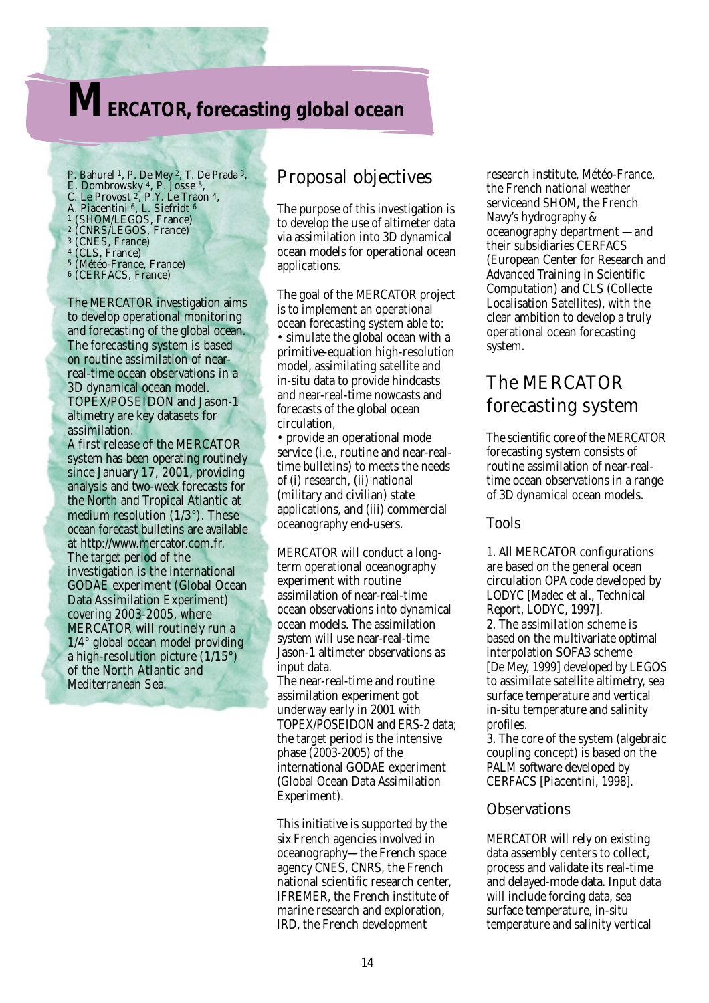# **MERCATOR, forecasting global ocean**

- P. Bahurel 1, P. De Mey 2, T. De Prada 3, E. Dombrowsky 4, P. Josse 5, C. Le Provost 2, P.Y. Le Traon 4, A. Piacentini 6, L. Siefridt <sup>6</sup> 1 (SHOM/LEGOS, France) 2 (CNRS/LEGOS, France) 3 (CNES, France) 4 (CLS, France) 5 (Météo-France, France)
- 6 (CERFACS, France)

The MERCATOR investigation aims to develop operational monitoring and forecasting of the global ocean. The forecasting system is based on routine assimilation of nearreal-time ocean observations in a 3D dynamical ocean model. TOPEX/POSEIDON and Jason-1 altimetry are key datasets for assimilation.

A first release of the MERCATOR system has been operating routinely since January 17, 2001, providing analysis and two-week forecasts for the North and Tropical Atlantic at medium resolution (1/3°). These ocean forecast bulletins are available at http://www.mercator.com.fr. The target period of the investigation is the international GODAE experiment (Global Ocean Data Assimilation Experiment) covering 2003-2005, where MERCATOR will routinely run a 1/4° global ocean model providing a high-resolution picture (1/15°) of the North Atlantic and Mediterranean Sea.

### Proposal objectives

The purpose of this investigation is to develop the use of altimeter data via assimilation into 3D dynamical ocean models for operational ocean applications.

The goal of the MERCATOR project is to implement an operational ocean forecasting system able to: • simulate the global ocean with a primitive-equation high-resolution model, assimilating satellite and in-situ data to provide hindcasts and near-real-time nowcasts and forecasts of the global ocean circulation,

• provide an operational mode service (i.e., routine and near-realtime bulletins) to meets the needs of (i) research, (ii) national (military and civilian) state applications, and (iii) commercial oceanography end-users.

MERCATOR will conduct a longterm operational oceanography experiment with routine assimilation of near-real-time ocean observations into dynamical ocean models. The assimilation system will use near-real-time Jason-1 altimeter observations as input data.

The near-real-time and routine assimilation experiment got underway early in 2001 with TOPEX/POSEIDON and ERS-2 data; the target period is the intensive phase (2003-2005) of the international GODAE experiment (Global Ocean Data Assimilation Experiment).

This initiative is supported by the six French agencies involved in oceanography—the French space agency CNES, CNRS, the French national scientific research center, IFREMER, the French institute of marine research and exploration, IRD, the French development

research institute, Météo-France, the French national weather serviceand SHOM, the French Navy's hydrography & oceanography department —and their subsidiaries CERFACS (European Center for Research and Advanced Training in Scientific Computation) and CLS (Collecte Localisation Satellites), with the clear ambition to develop a truly operational ocean forecasting system.

## The MERCATOR forecasting system

The scientific core of the MERCATOR forecasting system consists of routine assimilation of near-realtime ocean observations in a range of 3D dynamical ocean models.

#### Tools

1. All MERCATOR configurations are based on the general ocean circulation OPA code developed by LODYC [Madec et al., Technical Report, LODYC, 1997]. 2. The *assimilation scheme* is based on the multivariate optimal interpolation SOFA3 scheme [De Mey, 1999] developed by LEGOS to assimilate satellite altimetry, sea surface temperature and vertical in-situ temperature and salinity profiles.

3. The *core* of the system (algebraic coupling concept) is based on the PALM software developed by CERFACS [Piacentini, 1998].

#### **Observations**

MERCATOR will rely on existing data assembly centers to collect, process and validate its real-time and delayed-mode data. Input data will include forcing data, sea surface temperature, in-situ temperature and salinity vertical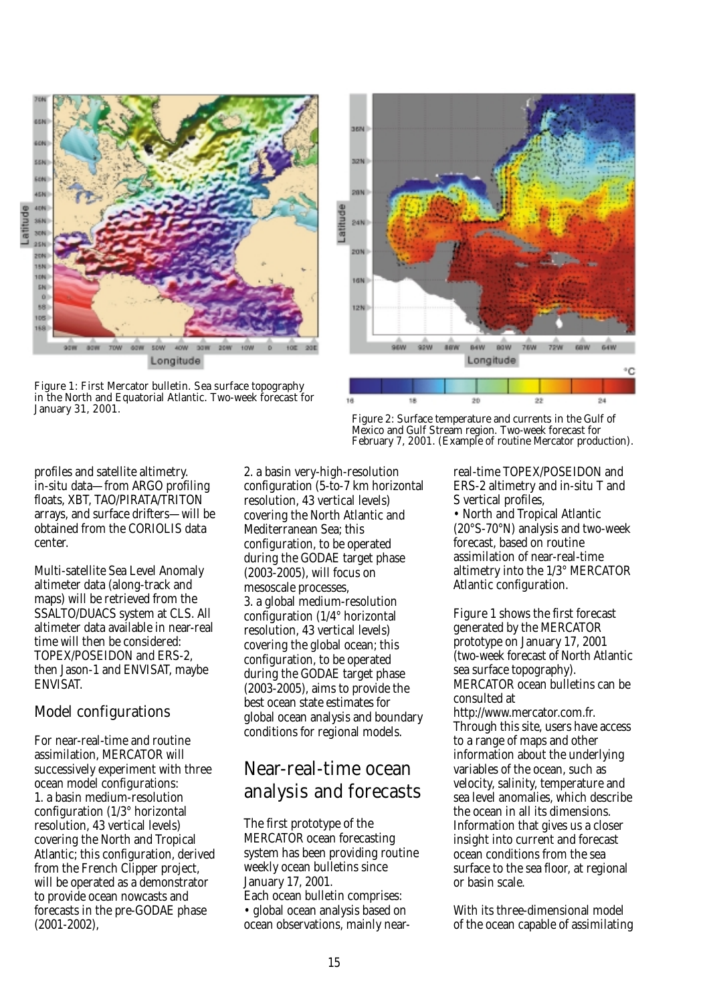

Figure 1: First Mercator bulletin. Sea surface topography in the North and Equatorial Atlantic. Two-week forecast for January 31, 2001.



Figure 2: Surface temperature and currents in the Gulf of Mexico and Gulf Stream region. Two-week forecast for February 7, 2001. (Example of routine Mercator production).

profiles and satellite altimetry. in-situ data—from ARGO profiling floats, XBT, TAO/PIRATA/TRITON arrays, and surface drifters—will be obtained from the CORIOLIS data center.

Multi-satellite Sea Level Anomaly altimeter data (along-track and maps) will be retrieved from the SSALTO/DUACS system at CLS. All altimeter data available in near-real time will then be considered: TOPEX/POSEIDON and ERS-2, then Jason-1 and ENVISAT, maybe ENVISAT.

#### Model configurations

For near-real-time and routine assimilation, MERCATOR will successively experiment with three ocean model configurations: 1. a basin medium-resolution configuration (1/3° horizontal resolution, 43 vertical levels) covering the North and Tropical Atlantic; this configuration, derived from the French Clipper project, will be operated as a demonstrator to provide ocean nowcasts and forecasts in the pre-GODAE phase (2001-2002),

2. a basin very-high-resolution configuration (5-to-7 km horizontal resolution, 43 vertical levels) covering the North Atlantic and Mediterranean Sea; this configuration, to be operated during the GODAE target phase (2003-2005), will focus on mesoscale processes, 3. a global medium-resolution configuration (1/4° horizontal resolution, 43 vertical levels) covering the global ocean; this configuration, to be operated during the GODAE target phase (2003-2005), aims to provide the best ocean state estimates for global ocean analysis and boundary conditions for regional models.

## Near-real-time ocean analysis and forecasts

The first prototype of the MERCATOR ocean forecasting system has been providing routine weekly ocean bulletins since January 17, 2001. Each ocean bulletin comprises: • global ocean analysis based on ocean observations, mainly nearreal-time TOPEX/POSEIDON and ERS-2 altimetry and in-situ T and S vertical profiles,

• North and Tropical Atlantic (20°S-70°N) analysis and two-week forecast, based on routine assimilation of near-real-time altimetry into the 1/3° MERCATOR Atlantic configuration.

Figure 1 shows the first forecast generated by the MERCATOR prototype on January 17, 2001 (two-week forecast of North Atlantic sea surface topography). MERCATOR ocean bulletins can be consulted at http://www.mercator.com.fr. Through this site, users have access to a range of maps and other information about the underlying variables of the ocean, such as velocity, salinity, temperature and sea level anomalies, which describe the ocean in all its dimensions. Information that gives us a closer insight into current and forecast ocean conditions from the sea surface to the sea floor, at regional or basin scale.

With its three-dimensional model of the ocean capable of assimilating